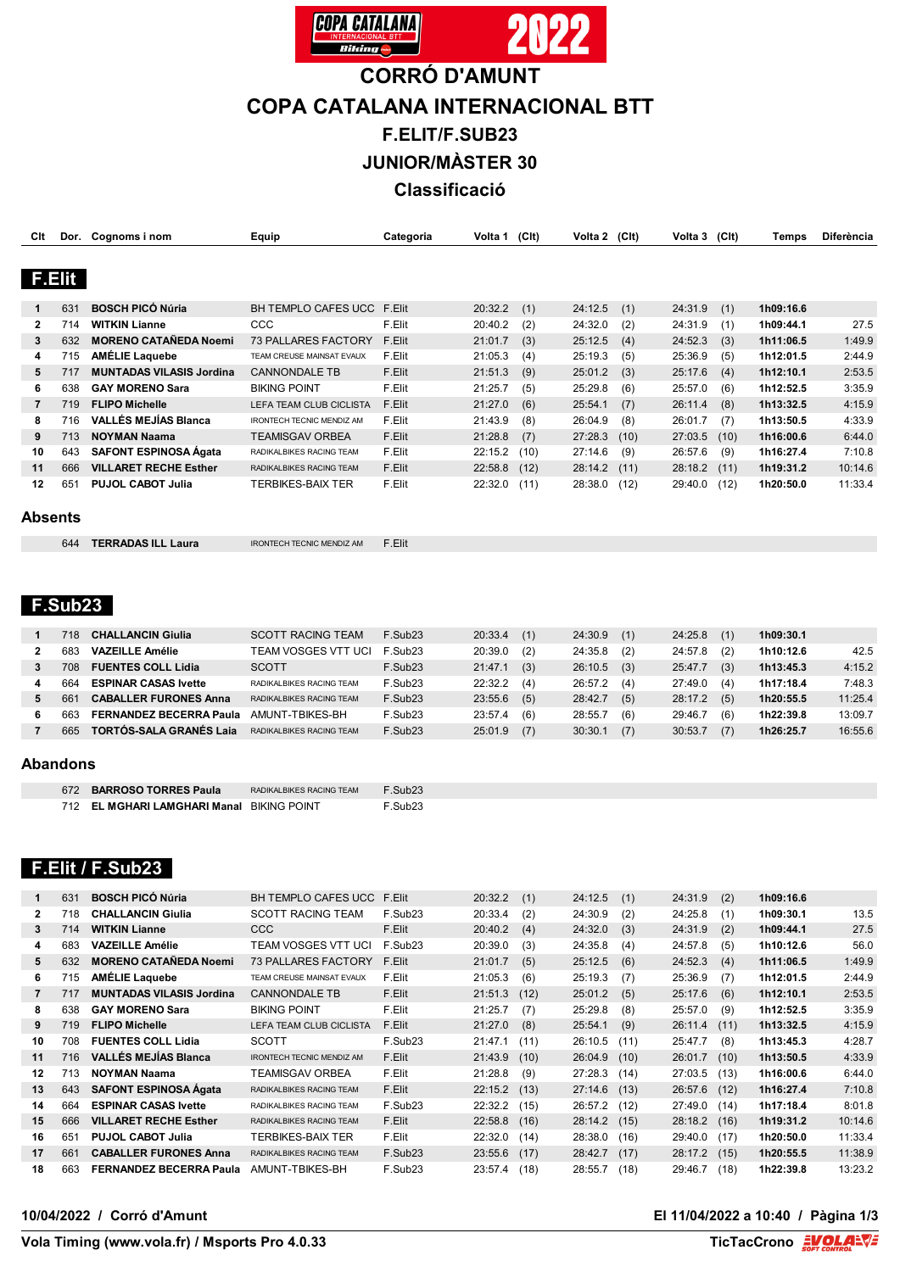

# **CORRÓ D'AMUNT**

## **COPA CATALANA INTERNACIONAL BTT**

**F.ELIT/F.SUB23**

**JUNIOR/MÀSTER 30**

**Classificació**

| Clt            |        | Dor. Cognoms i nom              | Equip                            | Categoria | Volta 1 | (CIt) | Volta 2 | (C <sub>l</sub> ) | Volta 3        | (C <sub>l</sub> ) | Temps     | Diferència |
|----------------|--------|---------------------------------|----------------------------------|-----------|---------|-------|---------|-------------------|----------------|-------------------|-----------|------------|
|                |        |                                 |                                  |           |         |       |         |                   |                |                   |           |            |
|                | F.Elit |                                 |                                  |           |         |       |         |                   |                |                   |           |            |
| 1              | 631    | <b>BOSCH PICÓ Núria</b>         | <b>BH TEMPLO CAFES UCC</b>       | F.Elit    | 20:32.2 | (1)   | 24:12.5 | (1)               | 24:31.9        | (1)               | 1h09:16.6 |            |
| $\mathbf{2}$   | 714    | <b>WITKIN Lianne</b>            | <b>CCC</b>                       | F.Elit    | 20:40.2 | (2)   | 24:32.0 | (2)               | 24:31.9        | (1)               | 1h09:44.1 | 27.5       |
| 3              | 632    | <b>MORENO CATAÑEDA Noemi</b>    | <b>73 PALLARES FACTORY</b>       | F.Elit    | 21:01.7 | (3)   | 25:12.5 | (4)               | 24:52.3        | (3)               | 1h11:06.5 | 1:49.9     |
| 4              | 715    | <b>AMÉLIE Laquebe</b>           | TEAM CREUSE MAINSAT EVAUX        | F.Elit    | 21:05.3 | (4)   | 25:19.3 | (5)               | 25:36.9        | (5)               | 1h12:01.5 | 2:44.9     |
| 5              | 717    | <b>MUNTADAS VILASIS Jordina</b> | <b>CANNONDALE TB</b>             | F.Elit    | 21:51.3 | (9)   | 25:01.2 | (3)               | 25:17.6        | (4)               | 1h12:10.1 | 2:53.5     |
| 6              | 638    | <b>GAY MORENO Sara</b>          | <b>BIKING POINT</b>              | F.Elit    | 21:25.7 | (5)   | 25:29.8 | (6)               | 25:57.0        | (6)               | 1h12:52.5 | 3:35.9     |
| $\overline{7}$ | 719    | <b>FLIPO Michelle</b>           | LEFA TEAM CLUB CICLISTA          | F.Elit    | 21:27.0 | (6)   | 25:54.1 | (7)               | 26:11.4        | (8)               | 1h13:32.5 | 4:15.9     |
| 8              | 716    | <b>VALLÉS MEJÍAS Blanca</b>     | <b>IRONTECH TECNIC MENDIZ AM</b> | F.Elit    | 21:43.9 | (8)   | 26:04.9 | (8)               | 26:01.7        | (7)               | 1h13:50.5 | 4:33.9     |
| 9              | 713    | <b>NOYMAN Naama</b>             | <b>TEAMISGAV ORBEA</b>           | F.Elit    | 21:28.8 | (7)   | 27:28.3 | (10)              | 27:03.5        | (10)              | 1h16:00.6 | 6:44.0     |
| 10             | 643    | <b>SAFONT ESPINOSA Ágata</b>    | RADIKALBIKES RACING TEAM         | F.Elit    | 22:15.2 | (10)  | 27:14.6 | (9)               | 26:57.6        | (9)               | 1h16:27.4 | 7:10.8     |
| 11             | 666    | <b>VILLARET RECHE Esther</b>    | RADIKALBIKES RACING TEAM         | F.Elit    | 22:58.8 | (12)  | 28:14.2 | (11)              | $28:18.2$ (11) |                   | 1h19:31.2 | 10:14.6    |
| 12             | 651    | <b>PUJOL CABOT Julia</b>        | <b>TERBIKES-BAIX TER</b>         | F.Elit    | 22:32.0 | (11)  | 28:38.0 | (12)              | 29:40.0        | (12)              | 1h20:50.0 | 11:33.4    |
| Absents        |        |                                 |                                  |           |         |       |         |                   |                |                   |           |            |

| Absents |  |
|---------|--|
|---------|--|

| 644 | <b>TERRADAS ILL Laura</b> | <b>IRONTECH TECNIC MENDIZ AM</b> | F.Elit |
|-----|---------------------------|----------------------------------|--------|
|-----|---------------------------|----------------------------------|--------|

### **F.Sub23**

|          | 718 | <b>CHALLANCIN Giulia</b>       | <b>SCOTT RACING TEAM</b>  | F.Sub23 | 20:33.4 | (1) | 24:30.9 | (1) | 24:25.8 | (1) | 1h09:30.1 |         |
|----------|-----|--------------------------------|---------------------------|---------|---------|-----|---------|-----|---------|-----|-----------|---------|
|          | 683 | <b>VAZEILLE Amélie</b>         | TEAM VOSGES VTT UCI       | F.Sub23 | 20:39.0 | (2) | 24:35.8 | (2) | 24:57.8 | (2) | 1h10:12.6 | 42.5    |
|          | 708 | <b>FUENTES COLL Lidia</b>      | <b>SCOTT</b>              | F.Sub23 | 21:47.1 | (3) | 26:10.5 | (3) | 25:47.7 | (3) | 1h13:45.3 | 4:15.2  |
|          | 664 | <b>ESPINAR CASAS Ivette</b>    | RADIKALBIKES RACING TEAM  | F.Sub23 | 22:32.2 | (4) | 26:57.2 | (4) | 27:49.0 | (4) | 1h17:18.4 | 7:48.3  |
|          | 66' | <b>CABALLER FURONES Anna</b>   | RADIKALBIKES RACING TEAM  | F.Sub23 | 23:55.6 | (5) | 28:42.7 | (5) | 28:17.2 | (5) | 1h20:55.5 | 11:25.4 |
| 6        | 663 | <b>FERNANDEZ BECERRA Paula</b> | AMUNT-TBIKES-BH           | F.Sub23 | 23:57.4 | (6) | 28:55.7 | (6) | 29:46.7 | (6) | 1h22:39.8 | 13:09.7 |
|          | 665 | <b>TORTÓS-SALA GRANÉS Laja</b> | RADIKAL BIKES RACING TEAM | F.Sub23 | 25:01.9 | (7) | 30:30.1 | (7) | 30:53.7 | (7) | 1h26:25.7 | 16:55.6 |
| Abandons |     |                                |                           |         |         |     |         |     |         |     |           |         |
|          |     |                                |                           |         |         |     |         |     |         |     |           |         |

#### **Abandons**

| 672 BARROSO TORRES Paula                  | RADIKAL BIKES RACING TEAM | F Sub23 |
|-------------------------------------------|---------------------------|---------|
| 712 EL MGHARI LAMGHARI Manal BIKING POINT |                           | F.Sub23 |

#### **F.Elit / F.Sub23**

|                | 631 | <b>BOSCH PICÓ Núria</b>         | <b>BH TEMPLO CAFES UCC</b>       | F.Elit              | 20:32.2 | (1)  | 24:12.5 | (1)  | 24:31.9        | (2)  | 1h09:16.6 |         |
|----------------|-----|---------------------------------|----------------------------------|---------------------|---------|------|---------|------|----------------|------|-----------|---------|
| $\overline{2}$ | 718 | <b>CHALLANCIN Giulia</b>        | <b>SCOTT RACING TEAM</b>         | F.Sub <sub>23</sub> | 20:33.4 | (2)  | 24:30.9 | (2)  | 24:25.8        | (1)  | 1h09:30.1 | 13.5    |
| 3              | 714 | <b>WITKIN Lianne</b>            | CCC                              | F.Elit              | 20:40.2 | (4)  | 24:32.0 | (3)  | 24:31.9        | (2)  | 1h09:44.1 | 27.5    |
| 4              | 683 | <b>VAZEILLE Amélie</b>          | <b>TEAM VOSGES VTT UCI</b>       | F.Sub <sub>23</sub> | 20:39.0 | (3)  | 24:35.8 | (4)  | 24:57.8        | (5)  | 1h10:12.6 | 56.0    |
| 5              | 632 | <b>MORENO CATAÑEDA Noemi</b>    | <b>73 PALLARES FACTORY</b>       | F.Elit              | 21:01.7 | (5)  | 25:12.5 | (6)  | 24:52.3        | (4)  | 1h11:06.5 | 1:49.9  |
| 6              | 715 | <b>AMÉLIE Laquebe</b>           | TEAM CREUSE MAINSAT EVAUX        | F.Elit              | 21:05.3 | (6)  | 25:19.3 | (7)  | 25:36.9        | (7)  | 1h12:01.5 | 2:44.9  |
|                | 717 | <b>MUNTADAS VILASIS Jordina</b> | <b>CANNONDALE TB</b>             | F.Elit              | 21:51.3 | (12) | 25:01.2 | (5)  | 25:17.6        | (6)  | 1h12:10.1 | 2:53.5  |
| 8              | 638 | <b>GAY MORENO Sara</b>          | <b>BIKING POINT</b>              | F.Elit              | 21:25.7 | (7)  | 25:29.8 | (8)  | 25:57.0        | (9)  | 1h12:52.5 | 3:35.9  |
| 9              | 719 | <b>FLIPO Michelle</b>           | <b>LEFA TEAM CLUB CICLISTA</b>   | F.Elit              | 21:27.0 | (8)  | 25:54.1 | (9)  | 26:11.4        | (11) | 1h13:32.5 | 4:15.9  |
| 10             | 708 | <b>FUENTES COLL Lidia</b>       | <b>SCOTT</b>                     | F.Sub23             | 21:47.1 | (11) | 26:10.5 | (11) | 25:47.7        | (8)  | 1h13:45.3 | 4:28.7  |
| 11             | 716 | <b>VALLÉS MEJÍAS Blanca</b>     | <b>IRONTECH TECNIC MENDIZ AM</b> | F.Elit              | 21:43.9 | (10) | 26:04.9 | (10) | 26:01.7        | (10) | 1h13:50.5 | 4:33.9  |
| 12             | 713 | <b>NOYMAN Naama</b>             | <b>TEAMISGAV ORBEA</b>           | F.Elit              | 21:28.8 | (9)  | 27:28.3 | (14) | 27:03.5        | (13) | 1h16:00.6 | 6:44.0  |
| 13             | 643 | <b>SAFONT ESPINOSA Ágata</b>    | RADIKALBIKES RACING TEAM         | F.Elit              | 22:15.2 | (13) | 27:14.6 | (13) | 26:57.6        | (12) | 1h16:27.4 | 7:10.8  |
| 14             | 664 | <b>ESPINAR CASAS Ivette</b>     | RADIKALBIKES RACING TEAM         | F.Sub23             | 22:32.2 | (15) | 26:57.2 | (12) | 27:49.0        | (14) | 1h17:18.4 | 8:01.8  |
| 15             | 666 | <b>VILLARET RECHE Esther</b>    | RADIKALBIKES RACING TEAM         | F.Elit              | 22:58.8 | (16) | 28:14.2 | (15) | $28:18.2$ (16) |      | 1h19:31.2 | 10:14.6 |
| 16             | 651 | <b>PUJOL CABOT Julia</b>        | <b>TERBIKES-BAIX TER</b>         | F.Elit              | 22:32.0 | (14) | 28:38.0 | (16) | 29:40.0        | (17) | 1h20:50.0 | 11:33.4 |
| 17             | 661 | <b>CABALLER FURONES Anna</b>    | RADIKALBIKES RACING TEAM         | F.Sub23             | 23:55.6 | (17) | 28:42.7 | (17) | 28:17.2        | (15) | 1h20:55.5 | 11:38.9 |
| 18             | 663 | <b>FERNANDEZ BECERRA Paula</b>  | AMUNT-TBIKES-BH                  | F.Sub23             | 23:57.4 | (18) | 28:55.7 | (18) | 29:46.7        | (18) | 1h22:39.8 | 13:23.2 |

**10/04/2022 / Corró d'Amunt El 11/04/2022 a 10:40 / Pàgina 1/3**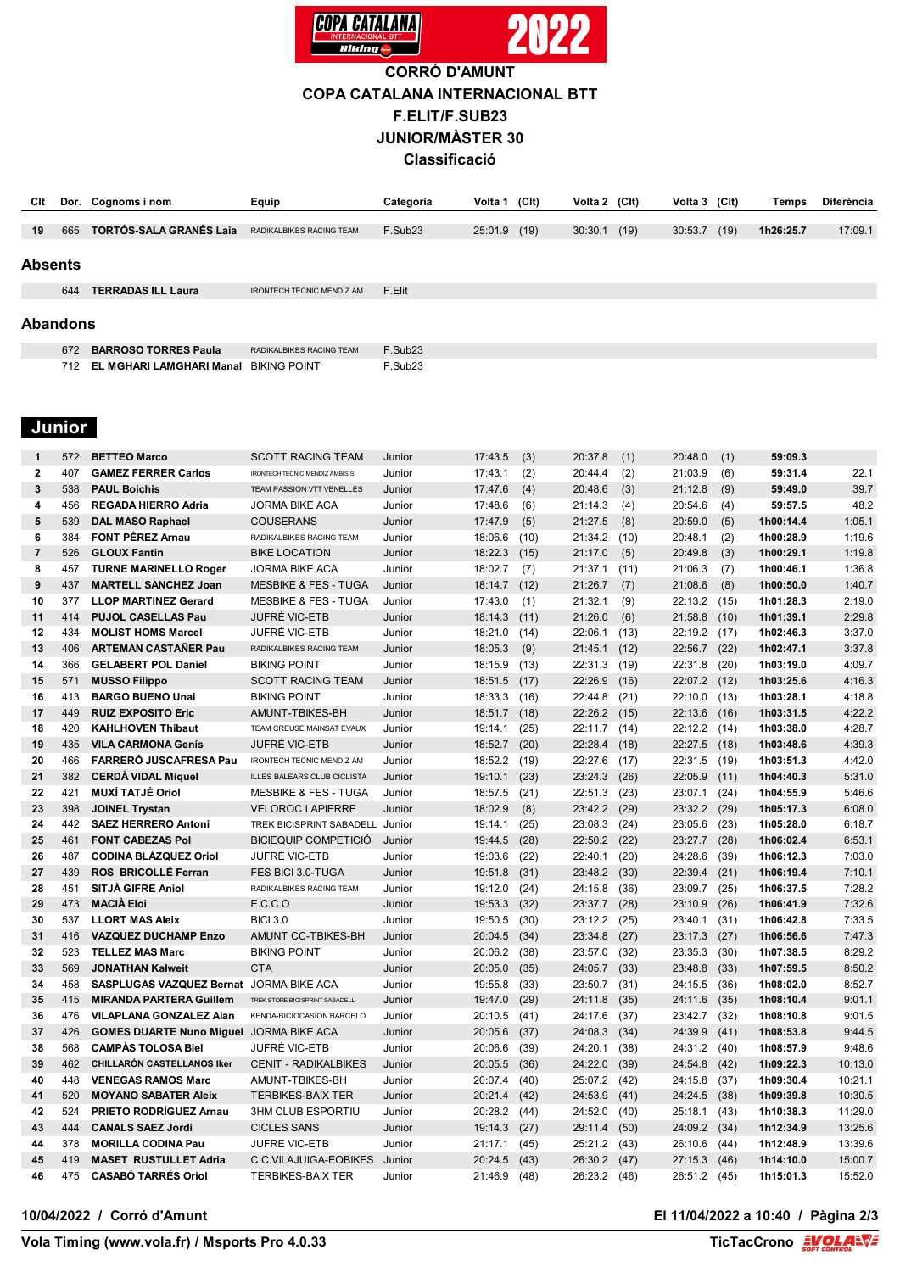

## **CORRÓ D'AMUNT COPA CATALANA INTERNACIONAL BTT F.ELIT/F.SUB23 JUNIOR/MÀSTER 30 Classificació**

| Clt             |     | Dor. Cognoms i nom                           | Equip                            | Categoria           | Volta 1 | (C <sub>l</sub> ) | Volta 2 (Clt) |      | Volta 3 (Clt) |      | Temps     | Diferència |
|-----------------|-----|----------------------------------------------|----------------------------------|---------------------|---------|-------------------|---------------|------|---------------|------|-----------|------------|
|                 |     |                                              |                                  |                     |         |                   |               |      |               |      |           |            |
| 19              | 665 | <b>TORTÓS-SALA GRANÉS Laja</b>               | RADIKALBIKES RACING TEAM         | F.Sub <sub>23</sub> | 25:01.9 | (19)              | 30:30.1       | (19) | 30:53.7       | (19) | 1h26:25.7 | 17:09.1    |
|                 |     |                                              |                                  |                     |         |                   |               |      |               |      |           |            |
| <b>Absents</b>  |     |                                              |                                  |                     |         |                   |               |      |               |      |           |            |
|                 | 644 | <b>TERRADAS ILL Laura</b>                    | <b>IRONTECH TECNIC MENDIZ AM</b> | F.Elit              |         |                   |               |      |               |      |           |            |
|                 |     |                                              |                                  |                     |         |                   |               |      |               |      |           |            |
| <b>Abandons</b> |     |                                              |                                  |                     |         |                   |               |      |               |      |           |            |
|                 | 672 | <b>BARROSO TORRES Paula</b>                  | RADIKALBIKES RACING TEAM         | F.Sub <sub>23</sub> |         |                   |               |      |               |      |           |            |
|                 | 712 | <b>EL MGHARI LAMGHARI Manal BIKING POINT</b> |                                  | F.Sub23             |         |                   |               |      |               |      |           |            |

## **Junior**

| $\mathbf 1$  | 572 | <b>BETTEO Marco</b>                            | <b>SCOTT RACING TEAM</b>              | Junior | 17:43.5 | (3)  | 20:37.8 | (1)  | 20:48.0 | (1)  | 59:09.3   |         |
|--------------|-----|------------------------------------------------|---------------------------------------|--------|---------|------|---------|------|---------|------|-----------|---------|
| $\mathbf{2}$ | 407 | <b>GAMEZ FERRER Carlos</b>                     | <b>IRONTECH TECNIC MENDIZ AMBISIS</b> | Junior | 17:43.1 | (2)  | 20:44.4 | (2)  | 21:03.9 | (6)  | 59:31.4   | 22.1    |
| 3            | 538 | <b>PAUL Boichis</b>                            | TEAM PASSION VTT VENELLES             | Junior | 17:47.6 | (4)  | 20:48.6 | (3)  | 21:12.8 | (9)  | 59:49.0   | 39.7    |
| 4            | 456 | <b>REGADA HIERRO Adria</b>                     | <b>JORMA BIKE ACA</b>                 | Junior | 17:48.6 | (6)  | 21:14.3 | (4)  | 20:54.6 | (4)  | 59:57.5   | 48.2    |
| 5            | 539 | <b>DAL MASO Raphael</b>                        | <b>COUSERANS</b>                      | Junior | 17:47.9 | (5)  | 21:27.5 | (8)  | 20:59.0 | (5)  | 1h00:14.4 | 1:05.1  |
| 6            | 384 | <b>FONT PÉREZ Arnau</b>                        | RADIKALBIKES RACING TEAM              | Junior | 18:06.6 | (10) | 21:34.2 | (10) | 20:48.1 | (2)  | 1h00:28.9 | 1:19.6  |
| 7            | 526 | <b>GLOUX Fantin</b>                            | <b>BIKE LOCATION</b>                  | Junior | 18:22.3 | (15) | 21:17.0 | (5)  | 20:49.8 | (3)  | 1h00:29.1 | 1:19.8  |
| 8            | 457 | <b>TURNE MARINELLO Roger</b>                   | <b>JORMA BIKE ACA</b>                 | Junior | 18:02.7 | (7)  | 21:37.1 | (11) | 21:06.3 | (7)  | 1h00:46.1 | 1:36.8  |
| 9            | 437 | <b>MARTELL SANCHEZ Joan</b>                    | <b>MESBIKE &amp; FES - TUGA</b>       | Junior | 18:14.7 | (12) | 21:26.7 | (7)  | 21:08.6 | (8)  | 1h00:50.0 | 1:40.7  |
| 10           | 377 | <b>LLOP MARTINEZ Gerard</b>                    | <b>MESBIKE &amp; FES - TUGA</b>       | Junior | 17:43.0 | (1)  | 21:32.1 | (9)  | 22:13.2 | (15) | 1h01:28.3 | 2:19.0  |
| 11           | 414 | <b>PUJOL CASELLAS Pau</b>                      | <b>JUFRÉ VIC-ETB</b>                  | Junior | 18:14.3 | (11) | 21:26.0 | (6)  | 21:58.8 | (10) | 1h01:39.1 | 2:29.8  |
| 12           | 434 | <b>MOLIST HOMS Marcel</b>                      | JUFRÉ VIC-ETB                         | Junior | 18:21.0 | (14) | 22:06.1 | (13) | 22:19.2 | (17) | 1h02:46.3 | 3:37.0  |
| 13           | 406 | <b>ARTEMAN CASTAÑER Pau</b>                    | RADIKALBIKES RACING TEAM              | Junior | 18:05.3 | (9)  | 21:45.1 | (12) | 22:56.7 | (22) | 1h02:47.1 | 3:37.8  |
| 14           | 366 | <b>GELABERT POL Daniel</b>                     | <b>BIKING POINT</b>                   | Junior | 18:15.9 | (13) | 22:31.3 | (19) | 22:31.8 | (20) | 1h03:19.0 | 4:09.7  |
| 15           | 571 | <b>MUSSO Filippo</b>                           | <b>SCOTT RACING TEAM</b>              | Junior | 18:51.5 | (17) | 22:26.9 | (16) | 22:07.2 | (12) | 1h03:25.6 | 4:16.3  |
| 16           | 413 | <b>BARGO BUENO Unai</b>                        | <b>BIKING POINT</b>                   | Junior | 18:33.3 | (16) | 22:44.8 | (21) | 22:10.0 | (13) | 1h03:28.1 | 4:18.8  |
| 17           | 449 | <b>RUIZ EXPOSITO Eric</b>                      | AMUNT-TBIKES-BH                       | Junior | 18:51.7 | (18) | 22:26.2 | (15) | 22:13.6 | (16) | 1h03:31.5 | 4:22.2  |
| 18           | 420 | <b>KAHLHOVEN Thibaut</b>                       | TEAM CREUSE MAINSAT EVAUX             | Junior | 19:14.1 | (25) | 22:11.7 | (14) | 22:12.2 | (14) | 1h03:38.0 | 4:28.7  |
| 19           | 435 | <b>VILA CARMONA Genís</b>                      | <b>JUFRÉ VIC-ETB</b>                  | Junior | 18:52.7 | (20) | 22:28.4 | (18) | 22:27.5 | (18) | 1h03:48.6 | 4:39.3  |
| 20           | 466 | FARRERÓ JUSCAFRESA Pau                         | <b>IRONTECH TECNIC MENDIZ AM</b>      | Junior | 18:52.2 | (19) | 22:27.6 | (17) | 22:31.5 | (19) | 1h03:51.3 | 4:42.0  |
| 21           | 382 | <b>CERDA VIDAL Miquel</b>                      | ILLES BALEARS CLUB CICLISTA           | Junior | 19:10.1 | (23) | 23:24.3 | (26) | 22:05.9 | (11) | 1h04:40.3 | 5:31.0  |
| 22           | 421 | <b>MUXÍ TATJÉ Oriol</b>                        | <b>MESBIKE &amp; FES - TUGA</b>       | Junior | 18:57.5 | (21) | 22:51.3 | (23) | 23:07.1 | (24) | 1h04:55.9 | 5:46.6  |
| 23           | 398 | <b>JOINEL Trystan</b>                          | <b>VELOROC LAPIERRE</b>               | Junior | 18:02.9 | (8)  | 23:42.2 | (29) | 23:32.2 | (29) | 1h05:17.3 | 6:08.0  |
| 24           | 442 | <b>SAEZ HERRERO Antoni</b>                     | TREK BICISPRINT SABADELL              | Junior | 19:14.1 | (25) | 23:08.3 | (24) | 23:05.6 | (23) | 1h05:28.0 | 6:18.7  |
| 25           | 461 | <b>FONT CABEZAS Pol</b>                        | <b>BICIEQUIP COMPETICIÓ</b>           | Junior | 19:44.5 | (28) | 22:50.2 | (22) | 23:27.7 | (28) | 1h06:02.4 | 6:53.1  |
| 26           | 487 | <b>CODINA BLÁZQUEZ Oriol</b>                   | JUFRÉ VIC-ETB                         | Junior | 19:03.6 | (22) | 22:40.1 | (20) | 24:28.6 | (39) | 1h06:12.3 | 7:03.0  |
| 27           | 439 | ROS BRICOLLÉ Ferran                            | FES BICI 3.0-TUGA                     | Junior | 19:51.8 | (31) | 23:48.2 | (30) | 22:39.4 | (21) | 1h06:19.4 | 7:10.1  |
| 28           | 451 | SITJÀ GIFRE Aniol                              | RADIKALBIKES RACING TEAM              | Junior | 19:12.0 | (24) | 24:15.8 | (36) | 23:09.7 | (25) | 1h06:37.5 | 7:28.2  |
| 29           | 473 | <b>MACIÀ Eloi</b>                              | E.C.C.O                               | Junior | 19:53.3 | (32) | 23:37.7 | (28) | 23:10.9 | (26) | 1h06:41.9 | 7:32.6  |
| 30           | 537 | <b>LLORT MAS Aleix</b>                         | <b>BICI 3.0</b>                       | Junior | 19:50.5 | (30) | 23:12.2 | (25) | 23:40.1 | (31) | 1h06:42.8 | 7:33.5  |
| 31           | 416 | <b>VAZQUEZ DUCHAMP Enzo</b>                    | AMUNT CC-TBIKES-BH                    | Junior | 20:04.5 | (34) | 23:34.8 | (27) | 23:17.3 | (27) | 1h06:56.6 | 7:47.3  |
| 32           | 523 | <b>TELLEZ MAS Marc</b>                         | <b>BIKING POINT</b>                   | Junior | 20:06.2 | (38) | 23:57.0 | (32) | 23:35.3 | (30) | 1h07:38.5 | 8:29.2  |
| 33           | 569 | <b>JONATHAN Kalweit</b>                        | <b>CTA</b>                            | Junior | 20:05.0 | (35) | 24:05.7 | (33) | 23:48.8 | (33) | 1h07:59.5 | 8:50.2  |
| 34           | 458 | SASPLUGAS VAZQUEZ Bernat JORMA BIKE ACA        |                                       | Junior | 19:55.8 | (33) | 23:50.7 | (31) | 24:15.5 | (36) | 1h08:02.0 | 8:52.7  |
| 35           | 415 | <b>MIRANDA PARTERA Guillem</b>                 | TREK STORE BICISPRINT SABADELL        | Junior | 19:47.0 | (29) | 24:11.8 | (35) | 24:11.6 | (35) | 1h08:10.4 | 9:01.1  |
| 36           | 476 | <b>VILAPLANA GONZALEZ Alan</b>                 | KENDA-BICIOCASION BARCELO             | Junior | 20:10.5 | (41) | 24:17.6 | (37) | 23:42.7 | (32) | 1h08:10.8 | 9:01.5  |
| 37           | 426 | <b>GOMES DUARTE Nuno Miguel JORMA BIKE ACA</b> |                                       | Junior | 20:05.6 | (37) | 24:08.3 | (34) | 24:39.9 | (41) | 1h08:53.8 | 9:44.5  |
| 38           | 568 | <b>CAMPAS TOLOSA Biel</b>                      | <b>JUFRÉ VIC-ETB</b>                  | Junior | 20:06.6 | (39) | 24:20.1 | (38) | 24:31.2 | (40) | 1h08:57.9 | 9:48.6  |
| 39           | 462 | CHILLARÓN CASTELLANOS Iker                     | <b>CENIT - RADIKALBIKES</b>           | Junior | 20:05.5 | (36) | 24:22.0 | (39) | 24:54.8 | (42) | 1h09:22.3 | 10:13.0 |
| 40           | 448 | <b>VENEGAS RAMOS Marc</b>                      | AMUNT-TBIKES-BH                       | Junior | 20:07.4 | (40) | 25:07.2 | (42) | 24:15.8 | (37) | 1h09:30.4 | 10:21.1 |
| 41           | 520 | <b>MOYANO SABATER Aleix</b>                    | <b>TERBIKES-BAIX TER</b>              | Junior | 20:21.4 | (42) | 24:53.9 | (41) | 24:24.5 | (38) | 1h09:39.8 | 10:30.5 |
| 42           | 524 | <b>PRIETO RODRÍGUEZ Arnau</b>                  | <b>3HM CLUB ESPORTIU</b>              | Junior | 20:28.2 | (44) | 24:52.0 | (40) | 25:18.1 | (43) | 1h10:38.3 | 11:29.0 |
| 43           | 444 | <b>CANALS SAEZ Jordi</b>                       | <b>CICLES SANS</b>                    | Junior | 19:14.3 | (27) | 29:11.4 | (50) | 24:09.2 | (34) | 1h12:34.9 | 13:25.6 |
| 44           | 378 | <b>MORILLA CODINA Pau</b>                      | JUFRE VIC-ETB                         | Junior | 21:17.1 | (45) | 25:21.2 | (43) | 26:10.6 | (44) | 1h12:48.9 | 13:39.6 |
| 45           | 419 | <b>MASET RUSTULLET Adria</b>                   | C.C.VILAJUIGA-EOBIKES                 | Junior | 20:24.5 | (43) | 26:30.2 | (47) | 27:15.3 | (46) | 1h14:10.0 | 15:00.7 |
| 46           | 475 | <b>CASABÓ TARRÉS Oriol</b>                     | <b>TERBIKES-BAIX TER</b>              | Junior | 21:46.9 | (48) | 26:23.2 | (46) | 26:51.2 | (45) | 1h15:01.3 | 15:52.0 |

#### **10/04/2022 / Corró d'Amunt El 11/04/2022 a 10:40 / Pàgina 2/3**